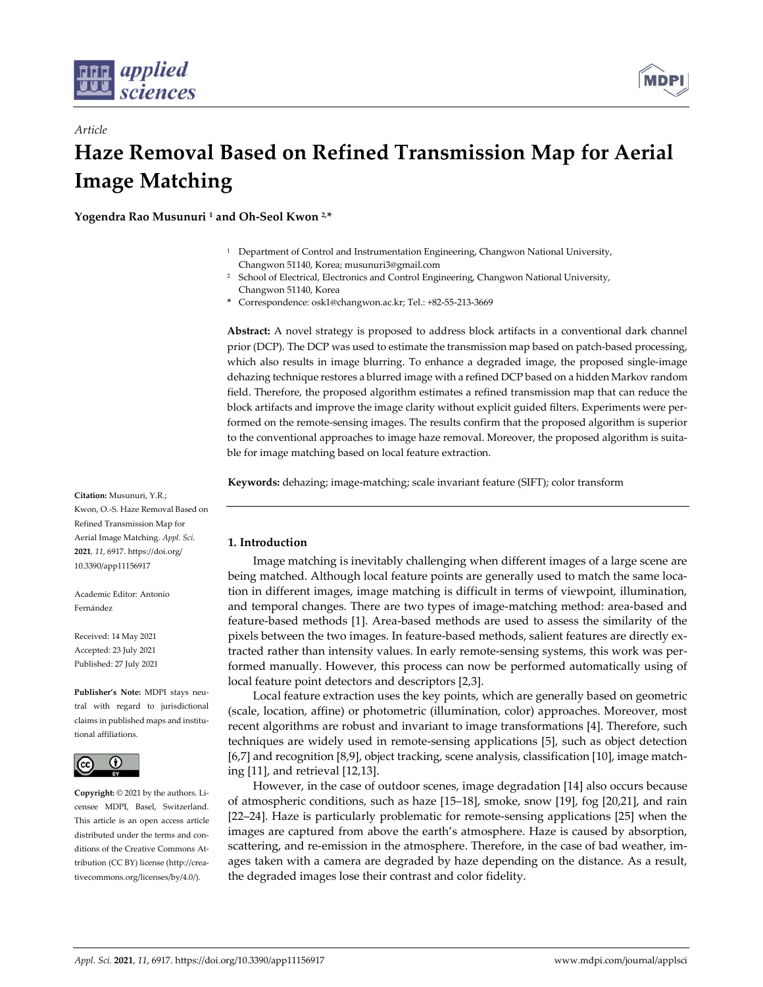

*Article*



# **Haze Removal Based on Refined Transmission Map for Aerial Image Matching**

**Yogendra Rao Musunuri <sup>1</sup> and Oh-Seol Kwon 2,\***

- <sup>1</sup> Department of Control and Instrumentation Engineering, Changwon National University, Changwon 51140, Korea; musunuri3@gmail.com
- <sup>2</sup> School of Electrical, Electronics and Control Engineering, Changwon National University, Changwon 51140, Korea
- **\*** Correspondence: osk1@changwon.ac.kr; Tel.: +82-55-213-3669

**Abstract:** A novel strategy is proposed to address block artifacts in a conventional dark channel prior (DCP). The DCP was used to estimate the transmission map based on patch-based processing, which also results in image blurring. To enhance a degraded image, the proposed single-image dehazing technique restores a blurred image with a refined DCP based on a hidden Markov random field. Therefore, the proposed algorithm estimates a refined transmission map that can reduce the block artifacts and improve the image clarity without explicit guided filters. Experiments were performed on the remote-sensing images. The results confirm that the proposed algorithm is superior to the conventional approaches to image haze removal. Moreover, the proposed algorithm is suitable for image matching based on local feature extraction.

**Keywords:** dehazing; image-matching; scale invariant feature (SIFT); color transform

## **1. Introduction**

Image matching is inevitably challenging when different images of a large scene are being matched. Although local feature points are generally used to match the same location in different images, image matching is difficult in terms of viewpoint, illumination, and temporal changes. There are two types of image-matching method: area-based and feature-based methods [1]. Area-based methods are used to assess the similarity of the pixels between the two images. In feature-based methods, salient features are directly extracted rather than intensity values. In early remote-sensing systems, this work was performed manually. However, this process can now be performed automatically using of local feature point detectors and descriptors [2,3].

Local feature extraction uses the key points, which are generally based on geometric (scale, location, affine) or photometric (illumination, color) approaches. Moreover, most recent algorithms are robust and invariant to image transformations [4]. Therefore, such techniques are widely used in remote-sensing applications [5], such as object detection [6,7] and recognition [8,9], object tracking, scene analysis, classification [10], image matching [11], and retrieval [12,13].

However, in the case of outdoor scenes, image degradation [14] also occurs because of atmospheric conditions, such as haze [15–18], smoke, snow [19], fog [20,21], and rain [22–24]. Haze is particularly problematic for remote-sensing applications [25] when the images are captured from above the earth's atmosphere. Haze is caused by absorption, scattering, and re-emission in the atmosphere. Therefore, in the case of bad weather, images taken with a camera are degraded by haze depending on the distance. As a result, the degraded images lose their contrast and color fidelity.

**Citation:** Musunuri, Y.R.; Kwon, O.-S. Haze Removal Based on Refined Transmission Map for Aerial Image Matching. *Appl. Sci.*  **2021**, *11*, 6917. https://doi.org/ 10.3390/app11156917

Academic Editor: Antonio Fernández

Received: 14 May 2021 Accepted: 23 July 2021 Published: 27 July 2021

**Publisher's Note:** MDPI stays neutral with regard to jurisdictional claims in published maps and institutional affiliations.



**Copyright:** © 2021 by the authors. Licensee MDPI, Basel, Switzerland. This article is an open access article distributed under the terms and conditions of the Creative Commons Attribution (CC BY) license (http://creativecommons.org/licenses/by/4.0/).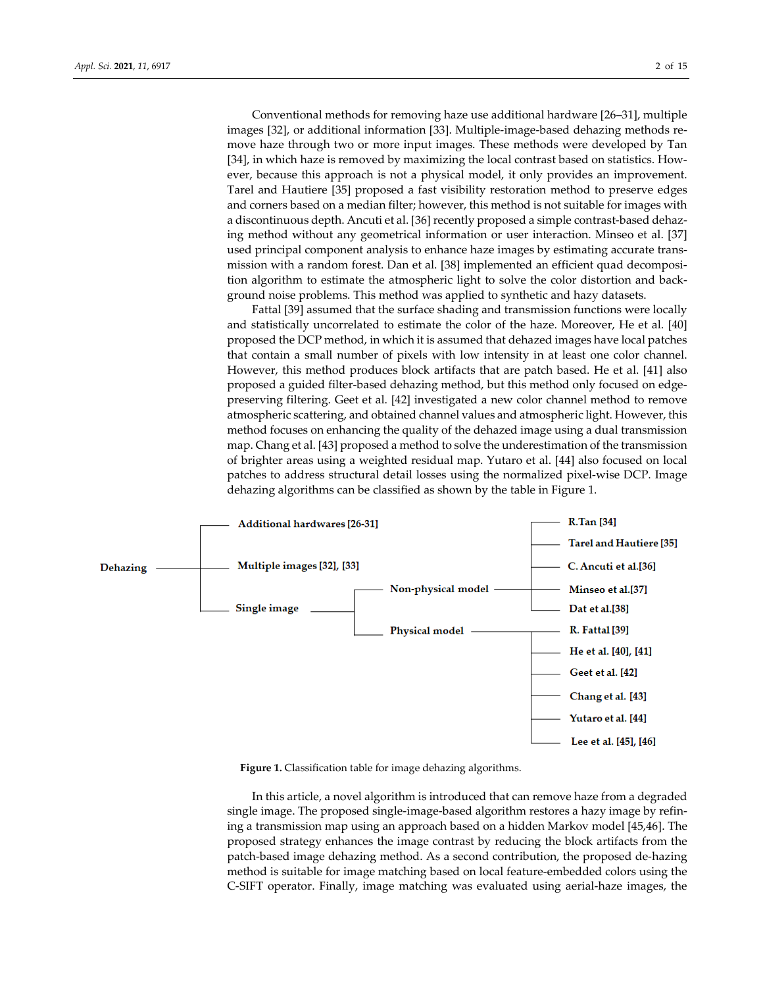Conventional methods for removing haze use additional hardware [26–31], multiple images [32], or additional information [33]. Multiple-image-based dehazing methods remove haze through two or more input images. These methods were developed by Tan [34], in which haze is removed by maximizing the local contrast based on statistics. However, because this approach is not a physical model, it only provides an improvement. Tarel and Hautiere [35] proposed a fast visibility restoration method to preserve edges and corners based on a median filter; however, this method is not suitable for images with a discontinuous depth. Ancuti et al. [36] recently proposed a simple contrast-based dehazing method without any geometrical information or user interaction. Minseo et al. [37] used principal component analysis to enhance haze images by estimating accurate transmission with a random forest. Dan et al. [38] implemented an efficient quad decomposition algorithm to estimate the atmospheric light to solve the color distortion and background noise problems. This method was applied to synthetic and hazy datasets.

Fattal [39] assumed that the surface shading and transmission functions were locally and statistically uncorrelated to estimate the color of the haze. Moreover, He et al. [40] proposed the DCP method, in which it is assumed that dehazed images have local patches that contain a small number of pixels with low intensity in at least one color channel. However, this method produces block artifacts that are patch based. He et al. [41] also proposed a guided filter-based dehazing method, but this method only focused on edgepreserving filtering. Geet et al. [42] investigated a new color channel method to remove atmospheric scattering, and obtained channel values and atmospheric light. However, this method focuses on enhancing the quality of the dehazed image using a dual transmission map. Chang et al. [43] proposed a method to solve the underestimation of the transmission of brighter areas using a weighted residual map. Yutaro et al. [44] also focused on local patches to address structural detail losses using the normalized pixel-wise DCP. Image dehazing algorithms can be classified as shown by the table in Figure 1.



**Figure 1.** Classification table for image dehazing algorithms.

In this article, a novel algorithm is introduced that can remove haze from a degraded single image. The proposed single-image-based algorithm restores a hazy image by refining a transmission map using an approach based on a hidden Markov model [45,46]. The proposed strategy enhances the image contrast by reducing the block artifacts from the patch-based image dehazing method. As a second contribution, the proposed de-hazing method is suitable for image matching based on local feature-embedded colors using the C-SIFT operator. Finally, image matching was evaluated using aerial-haze images, the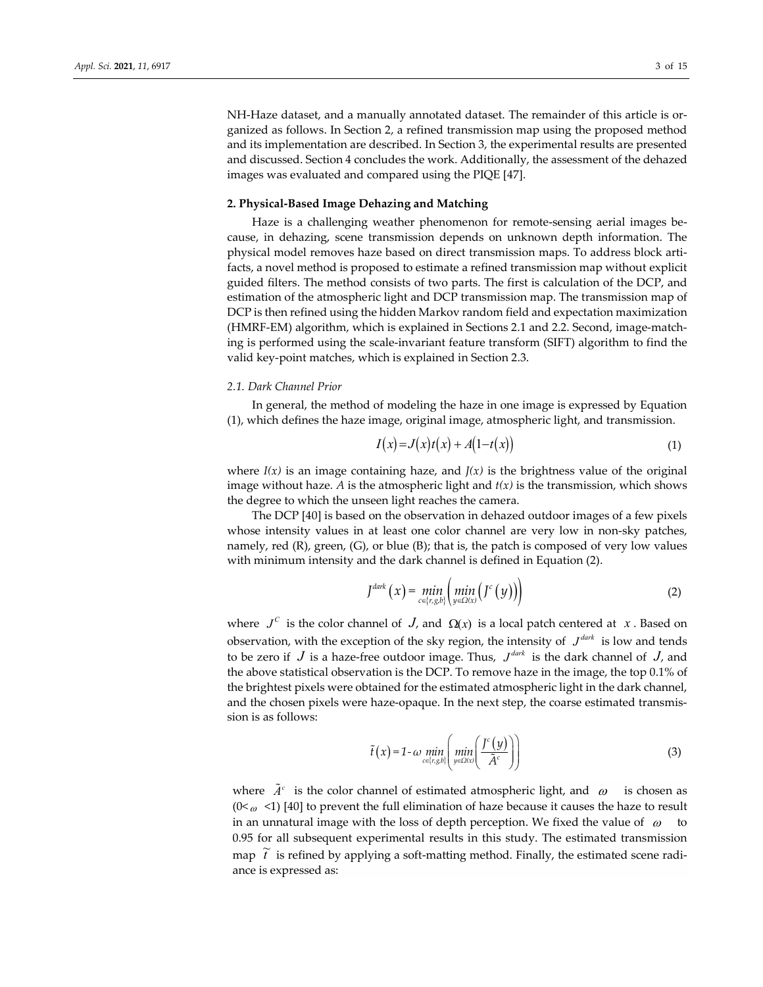NH-Haze dataset, and a manually annotated dataset. The remainder of this article is organized as follows. In Section 2, a refined transmission map using the proposed method and its implementation are described. In Section 3, the experimental results are presented and discussed. Section 4 concludes the work. Additionally, the assessment of the dehazed images was evaluated and compared using the PIQE [47].

#### **2. Physical-Based Image Dehazing and Matching**

Haze is a challenging weather phenomenon for remote-sensing aerial images because, in dehazing, scene transmission depends on unknown depth information. The physical model removes haze based on direct transmission maps. To address block artifacts, a novel method is proposed to estimate a refined transmission map without explicit guided filters. The method consists of two parts. The first is calculation of the DCP, and estimation of the atmospheric light and DCP transmission map. The transmission map of DCP is then refined using the hidden Markov random field and expectation maximization (HMRF-EM) algorithm, which is explained in Sections 2.1 and 2.2. Second, image-matching is performed using the scale-invariant feature transform (SIFT) algorithm to find the valid key-point matches, which is explained in Section 2.3.

#### *2.1. Dark Channel Prior*

In general, the method of modeling the haze in one image is expressed by Equation (1), which defines the haze image, original image, atmospheric light, and transmission.

$$
I(x) = J(x)t(x) + A(1-t(x))
$$
\n(1)

where  $I(x)$  is an image containing haze, and  $J(x)$  is the brightness value of the original image without haze*. A* is the atmospheric light and *t(x)* is the transmission, which shows the degree to which the unseen light reaches the camera.

The DCP [40] is based on the observation in dehazed outdoor images of a few pixels whose intensity values in at least one color channel are very low in non-sky patches, namely, red  $(R)$ , green,  $(G)$ , or blue  $(B)$ ; that is, the patch is composed of very low values with minimum intensity and the dark channel is defined in Equation (2).

$$
J^{dark}(x) = \min_{c \in [r,g,b]} \left( \min_{y \in \Omega(x)} \left( J^c(y) \right) \right) \tag{2}
$$

where  $J^C$  is the color channel of  $J$ , and  $\Omega(x)$  is a local patch centered at  $x$ . Based on observation, with the exception of the sky region, the intensity of  $J^{dark}$  is low and tends to be zero if  $J$  is a haze-free outdoor image. Thus,  $J^{dark}$  is the dark channel of  $J$ , and the above statistical observation is the DCP. To remove haze in the image, the top 0.1% of the brightest pixels were obtained for the estimated atmospheric light in the dark channel, and the chosen pixels were haze-opaque. In the next step, the coarse estimated transmission is as follows:

$$
\tilde{t}(x) = 1 - \omega \min_{c \in (r, g, b]} \left( \min_{y \in \Omega(x)} \left( \frac{I^c(y)}{\tilde{A}^c} \right) \right)
$$
(3)

where  $\tilde{A}^c$  is the color channel of estimated atmospheric light, and  $\omega$  is chosen as  $(0<_{\omega}$  <1) [40] to prevent the full elimination of haze because it causes the haze to result in an unnatural image with the loss of depth perception. We fixed the value of  $\omega$ 0.95 for all subsequent experimental results in this study. The estimated transmission  $\tilde{t}$  is refined by applying a soft-matting method. Finally, the estimated scene radiance is expressed as: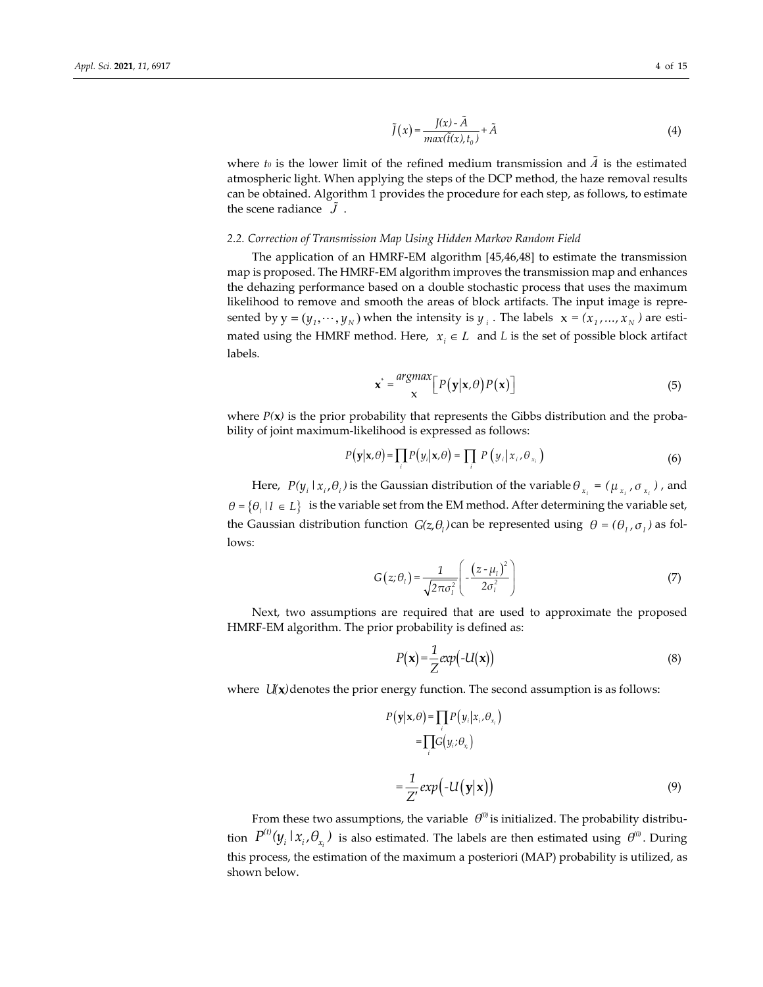$$
\tilde{J}(x) = \frac{J(x) - \tilde{A}}{max(\tilde{t}(x), t_0)} + \tilde{A}
$$
\n(4)

where *to* is the lower limit of the refined medium transmission and  $\tilde{A}$  is the estimated atmospheric light. When applying the steps of the DCP method, the haze removal results can be obtained. Algorithm 1 provides the procedure for each step, as follows, to estimate the scene radiance  $\tilde{J}$ .

## *2.2. Correction of Transmission Map Using Hidden Markov Random Field*

The application of an HMRF-EM algorithm [45,46,48] to estimate the transmission map is proposed. The HMRF-EM algorithm improves the transmission map and enhances the dehazing performance based on a double stochastic process that uses the maximum likelihood to remove and smooth the areas of block artifacts. The input image is represented by  $y = (y_1, \dots, y_N)$  when the intensity is  $y_i$ . The labels  $x = (x_1, \dots, x_N)$  are estimated using the HMRF method. Here,  $x_i \in L$  and *L* is the set of possible block artifact labels.

$$
\mathbf{x}^* = \frac{\argmax}{\mathbf{x}} \Big[ P(\mathbf{y}|\mathbf{x}, \theta) P(\mathbf{x}) \Big] \tag{5}
$$

where  $P(x)$  is the prior probability that represents the Gibbs distribution and the probability of joint maximum-likelihood is expressed as follows:

$$
P(\mathbf{y}|\mathbf{x},\theta) = \prod_{i} P(y_i|\mathbf{x},\theta) = \prod_{i} P(y_i|x_i,\theta_{x_i})
$$
\n(6)

Here,  $P(y_i | x_i, \theta_i)$  is the Gaussian distribution of the variable  $\theta_{x_i} = (\mu_{x_i}, \sigma_{x_i})$ , and  $\theta = \{\theta_i | l \in L\}$  is the variable set from the EM method. After determining the variable set, the Gaussian distribution function  $G(z, \theta)$  can be represented using  $\theta = (\theta_1, \sigma_1)$  as follows:

$$
G(z; \theta_i) = \frac{1}{\sqrt{2\pi\sigma_i^2}} \left( -\frac{\left(z - \mu_i\right)^2}{2\sigma_i^2} \right) \tag{7}
$$

Next, two assumptions are required that are used to approximate the proposed HMRF-EM algorithm. The prior probability is defined as:

$$
P(\mathbf{x}) = \frac{1}{Z} \exp(-U(\mathbf{x}))
$$
\n(8)

where  $U(x)$  denotes the prior energy function. The second assumption is as follows:

$$
P(\mathbf{y}|\mathbf{x},\theta) = \prod_{i} P(y_i|x_i, \theta_{x_i})
$$
  
\n
$$
= \prod_{i} G(y_i; \theta_{x_i})
$$
  
\n
$$
= \frac{1}{Z'} exp(-U(\mathbf{y}|\mathbf{x}))
$$
 (9)

From these two assumptions, the variable  $\theta^{(0)}$  is initialized. The probability distribution  $P^{(t)}(y_i | x_i, \theta_{x_i})$  is also estimated. The labels are then estimated using  $\theta^{\omega}$ . During this process, the estimation of the maximum a posteriori (MAP) probability is utilized, as shown below.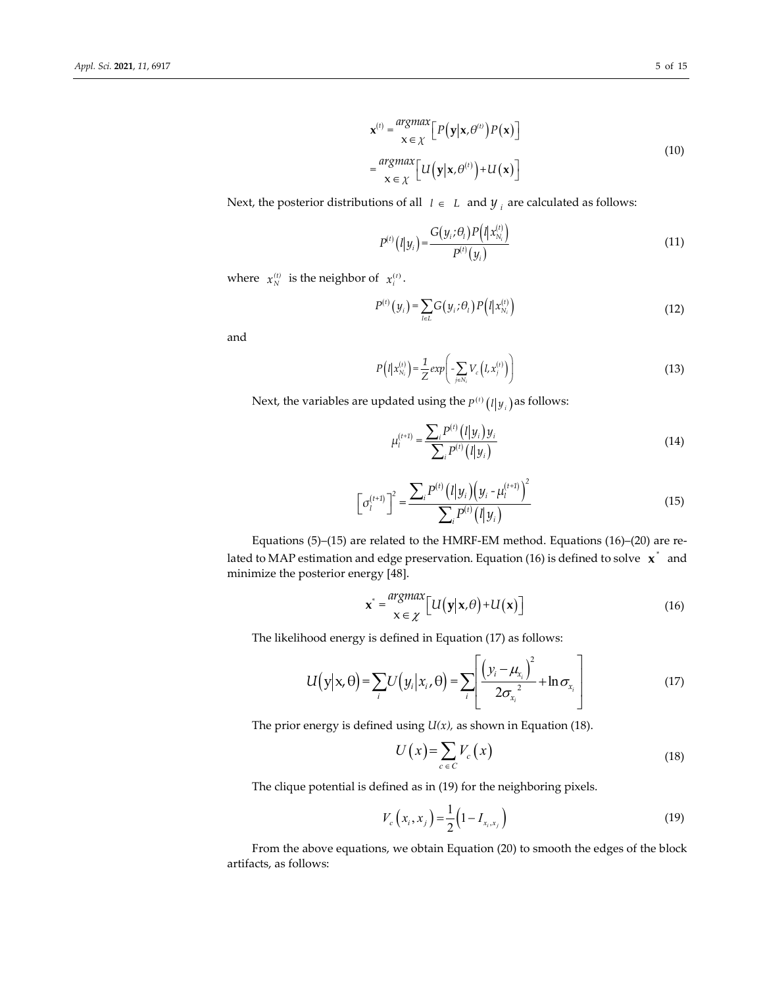$$
\mathbf{x}^{(t)} = \frac{\arg \max}{\mathbf{x} \in \mathcal{X}} \Big[ P(\mathbf{y}|\mathbf{x}, \theta^{(t)}) P(\mathbf{x}) \Big] \n= \frac{\arg \max}{\mathbf{x} \in \mathcal{X}} \Big[ U(\mathbf{y}|\mathbf{x}, \theta^{(t)}) + U(\mathbf{x}) \Big]
$$
\n(10)

Next, the posterior distributions of all  $l \in L$  and  $y_i$  are calculated as follows:

$$
P^{(t)}(l|y_i) = \frac{G(y_i; \theta_i) P(l|x_{N_i}^{(t)})}{P^{(t)}(y_i)}
$$
\n(11)

where  $x_N^{(t)}$  is the neighbor of  $x_i^{(t)}$ .

$$
P^{(t)}(y_i) = \sum_{l \in L} G(y_i; \theta_l) P(l | x_{N_i}^{(t)})
$$
\n(12)

and

$$
P\left(l|x_{N_i}^{(t)}\right) = \frac{1}{Z}exp\left(-\sum_{j\in N_i} V_c\left(l, x_j^{(t)}\right)\right) \tag{13}
$$

Next, the variables are updated using the  $p^{(t)}(l|y_i)$ as follows:

$$
\mu_i^{(t+1)} = \frac{\sum_i P^{(t)}(l|y_i) y_i}{\sum_i P^{(t)}(l|y_i)}
$$
(14)

$$
\[ \sigma_l^{(t+1)} \]^2 = \frac{\sum_i P^{(t)}(l|y_i) (y_i - \mu_l^{(t+1)})^2}{\sum_i P^{(t)}(l|y_i)} \tag{15}
$$

Equations (5)–(15) are related to the HMRF-EM method. Equations (16)–(20) are related to MAP estimation and edge preservation. Equation (16) is defined to solve  $\mathbf{x}^*$  and minimize the posterior energy [48].

$$
\mathbf{x}^* = \frac{\argmax}{\mathbf{x} \in \mathcal{X}} \Big[ U\big(\mathbf{y}|\mathbf{x}, \theta\big) + U\big(\mathbf{x}\big) \Big] \tag{16}
$$

The likelihood energy is defined in Equation (17) as follows:

$$
U(y|x,\theta) = \sum_{i} U(y_i|x_i,\theta) = \sum_{i} \left[ \frac{(y_i - \mu_{x_i})^2}{2\sigma_{x_i}^2} + \ln \sigma_{x_i} \right]
$$
(17)

The prior energy is defined using *U(x),* as shown in Equation (18).

$$
U(x) = \sum_{c \in C} V_c(x)
$$
 (18)

The clique potential is defined as in (19) for the neighboring pixels.

$$
V_c(x_i, x_j) = \frac{1}{2} (1 - I_{x_i, x_j})
$$
\n(19)

From the above equations, we obtain Equation (20) to smooth the edges of the block artifacts, as follows: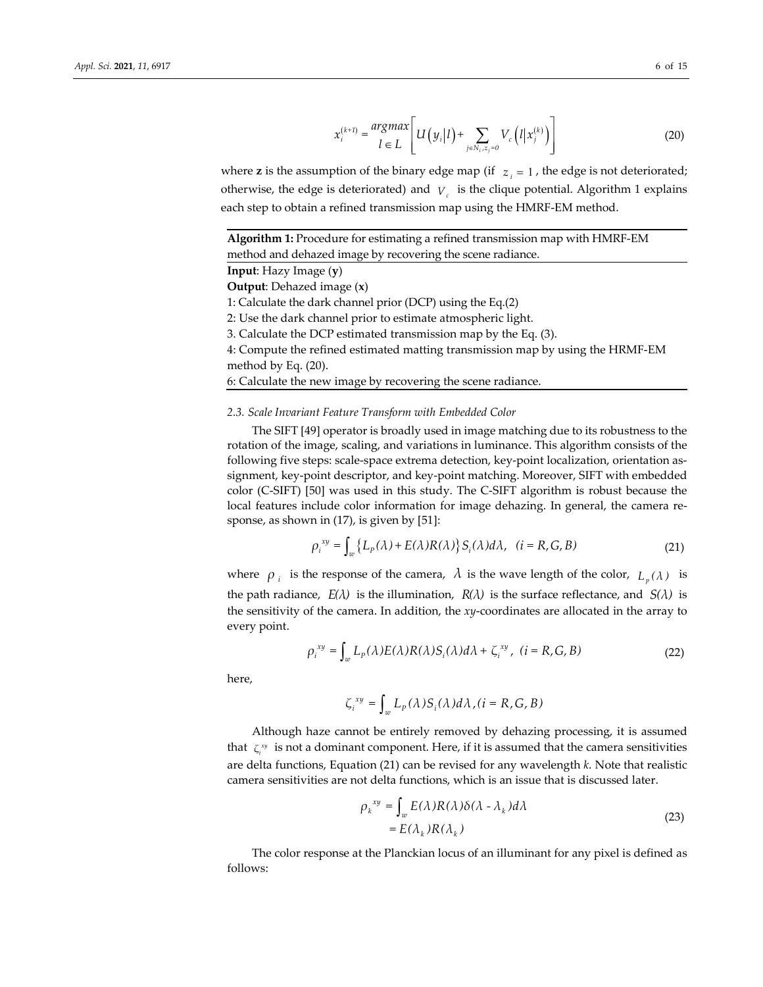$$
x_i^{(k+1)} = \frac{\arg max}{l} \left[ U\left(y_i \middle| l\right) + \sum_{j \in N_i, z_j = 0} V_c\left(l \middle| x_j^{(k)}\right) \right] \tag{20}
$$

where **z** is the assumption of the binary edge map (if  $z_i = 1$ , the edge is not deteriorated; otherwise, the edge is deteriorated) and  $V<sub>c</sub>$  is the clique potential. Algorithm 1 explains each step to obtain a refined transmission map using the HMRF-EM method.

| <b>Algorithm 1:</b> Procedure for estimating a refined transmission map with HMRF-EM |  |  |  |  |  |  |  |
|--------------------------------------------------------------------------------------|--|--|--|--|--|--|--|
| method and dehazed image by recovering the scene radiance.                           |  |  |  |  |  |  |  |
| <b>Input:</b> Hazy Image $(y)$                                                       |  |  |  |  |  |  |  |
| <b>Output:</b> Dehazed image $(x)$                                                   |  |  |  |  |  |  |  |
| 1: Calculate the dark channel prior (DCP) using the Eq.(2)                           |  |  |  |  |  |  |  |
| 2: Use the dark channel prior to estimate atmospheric light.                         |  |  |  |  |  |  |  |
| 3. Calculate the DCP estimated transmission map by the Eq. (3).                      |  |  |  |  |  |  |  |
| 4: Compute the refined estimated matting transmission map by using the HRMF-EM       |  |  |  |  |  |  |  |
| method by Eq. (20).                                                                  |  |  |  |  |  |  |  |
| 6: Calculate the new image by recovering the scene radiance.                         |  |  |  |  |  |  |  |
|                                                                                      |  |  |  |  |  |  |  |

#### *2.3. Scale Invariant Feature Transform with Embedded Color*

The SIFT [49] operator is broadly used in image matching due to its robustness to the rotation of the image, scaling, and variations in luminance. This algorithm consists of the following five steps: scale-space extrema detection, key-point localization, orientation assignment, key-point descriptor, and key-point matching. Moreover, SIFT with embedded color (C-SIFT) [50] was used in this study. The C-SIFT algorithm is robust because the local features include color information for image dehazing. In general, the camera response, as shown in (17), is given by [51]:

$$
\rho_i^{xy} = \int_{w} \left\{ L_p(\lambda) + E(\lambda)R(\lambda) \right\} S_i(\lambda) d\lambda, \quad (i = R, G, B)
$$
\n(21)

where  $\rho_i$  is the response of the camera,  $\lambda$  is the wave length of the color,  $L_n(\lambda)$  is the path radiance,  $E(\lambda)$  is the illumination,  $R(\lambda)$  is the surface reflectance, and  $S(\lambda)$  is the sensitivity of the camera. In addition, the *xy*-coordinates are allocated in the array to every point.

$$
\rho_i^{xy} = \int_w L_p(\lambda) E(\lambda) R(\lambda) S_i(\lambda) d\lambda + \zeta_i^{xy}, \quad (i = R, G, B)
$$
\n(22)

here,

$$
\zeta_i^{xy} = \int_w L_p(\lambda) S_i(\lambda) d\lambda, (i = R, G, B)
$$

Although haze cannot be entirely removed by dehazing processing, it is assumed that *ζ*<sup>*xy*</sup> is not a dominant component. Here, if it is assumed that the camera sensitivities are delta functions, Equation (21) can be revised for any wavelength *k*. Note that realistic camera sensitivities are not delta functions, which is an issue that is discussed later.

$$
\rho_k^{xy} = \int_w E(\lambda)R(\lambda)\delta(\lambda - \lambda_k)d\lambda
$$
  
=  $E(\lambda_k)R(\lambda_k)$  (23)

The color response at the Planckian locus of an illuminant for any pixel is defined as follows: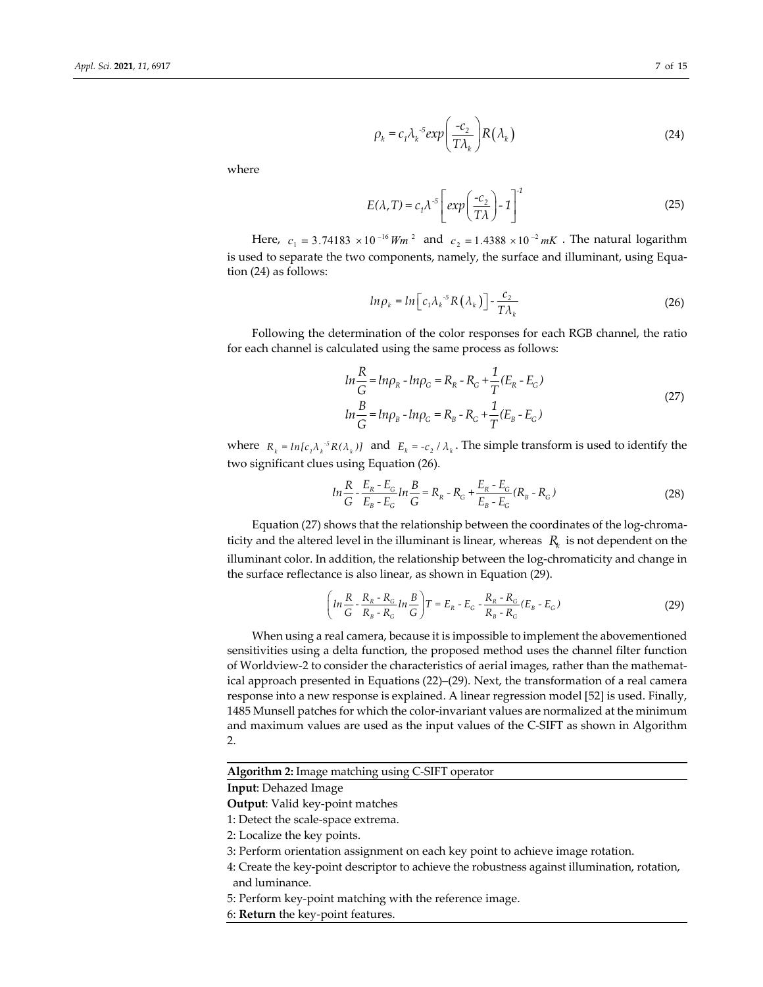$$
\rho_k = c_1 \lambda_k^{-5} exp\left(\frac{-c_2}{T\lambda_k}\right) R(\lambda_k)
$$
\n(24)

where

$$
E(\lambda, T) = c_1 \lambda^{-5} \left[ exp\left(\frac{-c_2}{T\lambda}\right) - 1\right]^{-1}
$$
 (25)

Here,  $c_1 = 3.74183 \times 10^{-16} Wm^2$  and  $c_2 = 1.4388 \times 10^{-2} mK$ . The natural logarithm is used to separate the two components, namely, the surface and illuminant, using Equation (24) as follows:

$$
ln \rho_k = ln \left[ c_1 \lambda_k^{-5} R \left( \lambda_k \right) \right] - \frac{c_2}{T \lambda_k}
$$
 (26)

Following the determination of the color responses for each RGB channel, the ratio for each channel is calculated using the same process as follows:

$$
ln\frac{R}{G} = ln\rho_R - ln\rho_G = R_R - R_G + \frac{1}{T}(E_R - E_G)
$$
  
\n
$$
ln\frac{B}{G} = ln\rho_B - ln\rho_G = R_B - R_G + \frac{1}{T}(E_B - E_G)
$$
\n(27)

where  $R_k = ln[c_1 \lambda_k^{-5} R(\lambda_k)]$  and  $E_k = -c_2 / \lambda_k$ . The simple transform is used to identify the two significant clues using Equation (26).

$$
ln\frac{R}{G} - \frac{E_R - E_G}{E_B - E_G}ln\frac{B}{G} = R_R - R_G + \frac{E_R - E_G}{E_B - E_G}(R_B - R_G)
$$
\n(28)

Equation (27) shows that the relationship between the coordinates of the log-chromaticity and the altered level in the illuminant is linear, whereas  $R_k$  is not dependent on the illuminant color. In addition, the relationship between the log-chromaticity and change in the surface reflectance is also linear, as shown in Equation (29).

$$
\left(ln\frac{R}{G} - \frac{R_{R} - R_{G}}{R_{B} - R_{G}}ln\frac{B}{G}\right)T = E_{R} - E_{G} - \frac{R_{R} - R_{G}}{R_{B} - R_{G}}(E_{B} - E_{G})
$$
\n(29)

When using a real camera, because it is impossible to implement the abovementioned sensitivities using a delta function, the proposed method uses the channel filter function of Worldview-2 to consider the characteristics of aerial images, rather than the mathematical approach presented in Equations (22)–(29). Next, the transformation of a real camera response into a new response is explained. A linear regression model [52] is used. Finally, 1485 Munsell patches for which the color-invariant values are normalized at the minimum and maximum values are used as the input values of the C-SIFT as shown in Algorithm 2.

#### **Algorithm 2:** Image matching using C-SIFT operator

**Input**: Dehazed Image

**Output**: Valid key-point matches

1: Detect the scale-space extrema.

2: Localize the key points.

3: Perform orientation assignment on each key point to achieve image rotation.

4: Create the key-point descriptor to achieve the robustness against illumination, rotation, and luminance.

5: Perform key-point matching with the reference image.

6: **Return** the key-point features.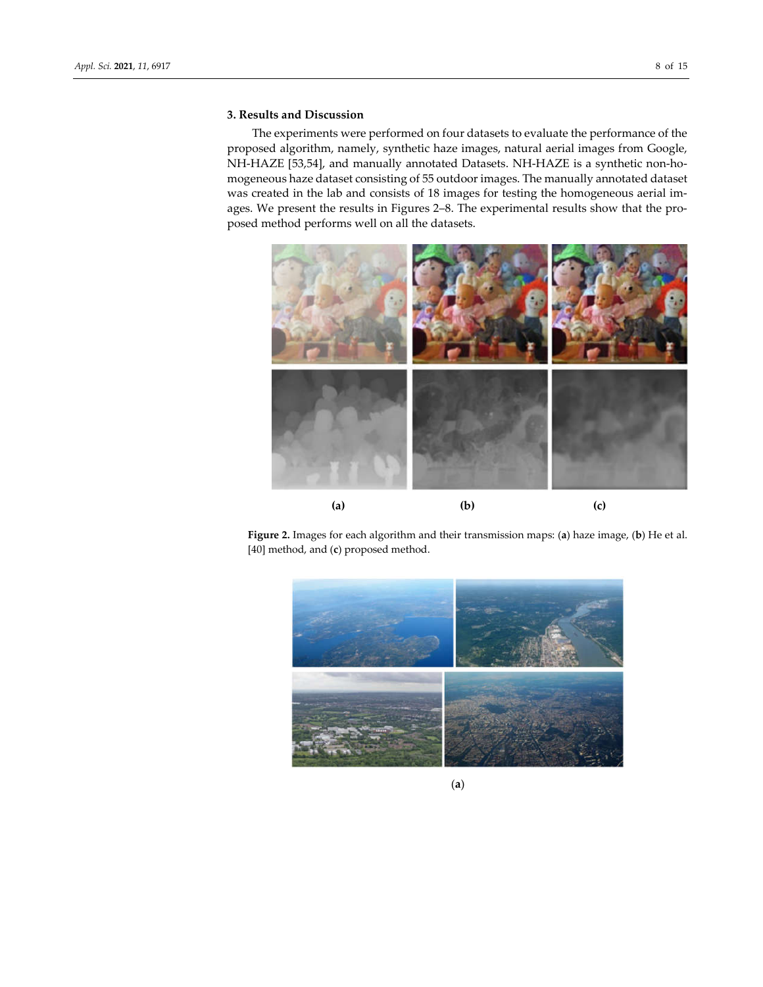### **3. Results and Discussion**

The experiments were performed on four datasets to evaluate the performance of the proposed algorithm, namely, synthetic haze images, natural aerial images from Google, NH-HAZE [53,54], and manually annotated Datasets. NH-HAZE is a synthetic non-homogeneous haze dataset consisting of 55 outdoor images. The manually annotated dataset was created in the lab and consists of 18 images for testing the homogeneous aerial images. We present the results in Figures 2–8. The experimental results show that the proposed method performs well on all the datasets.



**Figure 2.** Images for each algorithm and their transmission maps: (**a**) haze image, (**b**) He et al. [40] method, and (**c**) proposed method.



(**a**)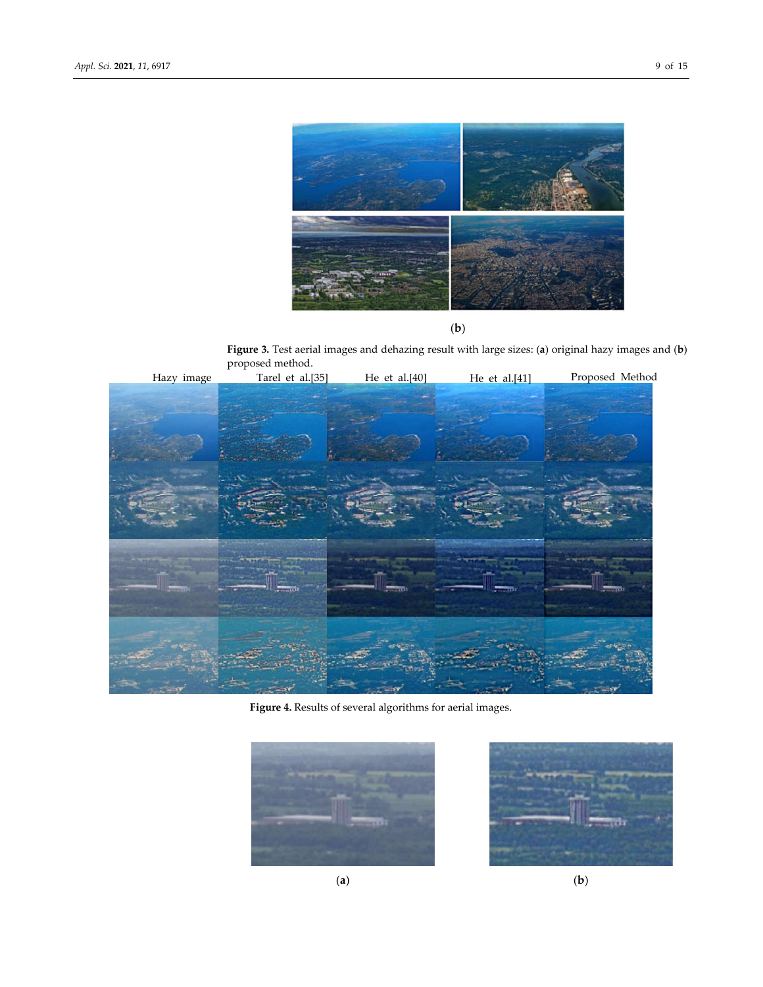



**Figure 3.** Test aerial images and dehazing result with large sizes: (**a**) original hazy images and (**b**)



**Figure 4.** Results of several algorithms for aerial images.



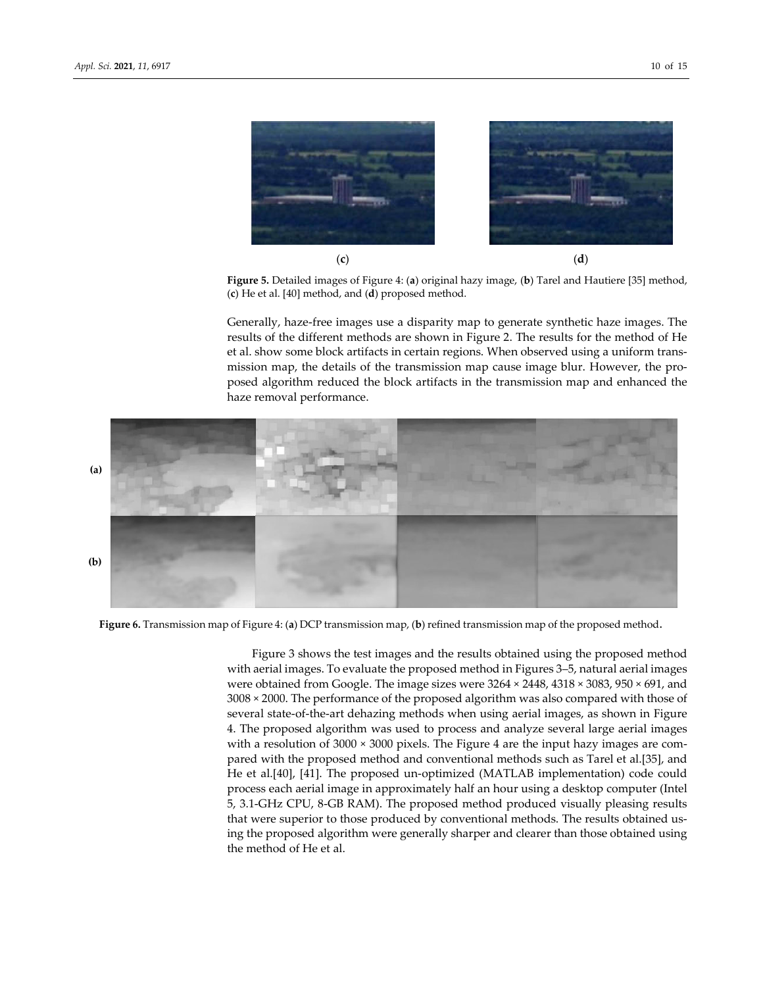

**Figure 5.** Detailed images of Figure 4: (**a**) original hazy image, (**b**) Tarel and Hautiere [35] method, (**c**) He et al. [40] method, and (**d**) proposed method.

Generally, haze-free images use a disparity map to generate synthetic haze images. The results of the different methods are shown in Figure 2. The results for the method of He et al. show some block artifacts in certain regions. When observed using a uniform transmission map, the details of the transmission map cause image blur. However, the proposed algorithm reduced the block artifacts in the transmission map and enhanced the haze removal performance.



**Figure 6.** Transmission map of Figure 4: (**a**) DCP transmission map, (**b**) refined transmission map of the proposed method.

Figure 3 shows the test images and the results obtained using the proposed method with aerial images. To evaluate the proposed method in Figures 3–5, natural aerial images were obtained from Google. The image sizes were 3264 × 2448, 4318 × 3083, 950 × 691, and 3008 × 2000. The performance of the proposed algorithm was also compared with those of several state-of-the-art dehazing methods when using aerial images, as shown in Figure 4. The proposed algorithm was used to process and analyze several large aerial images with a resolution of  $3000 \times 3000$  pixels. The Figure 4 are the input hazy images are compared with the proposed method and conventional methods such as Tarel et al.[35], and He et al.[40], [41]. The proposed un-optimized (MATLAB implementation) code could process each aerial image in approximately half an hour using a desktop computer (Intel 5, 3.1-GHz CPU, 8-GB RAM). The proposed method produced visually pleasing results that were superior to those produced by conventional methods. The results obtained using the proposed algorithm were generally sharper and clearer than those obtained using the method of He et al.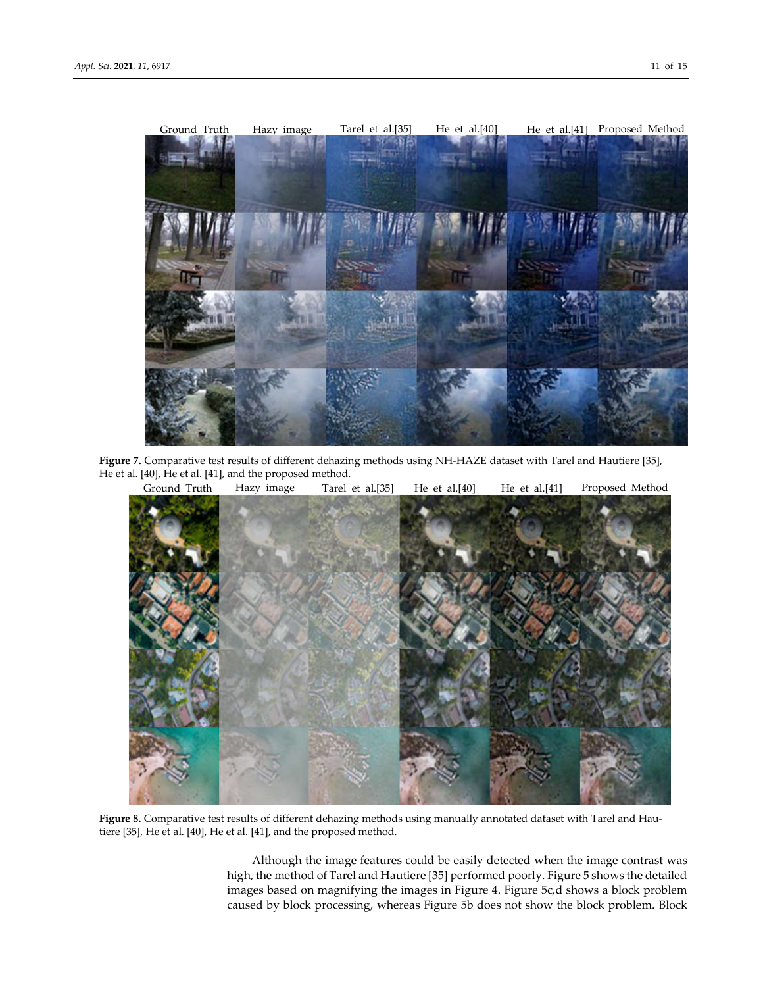

**Figure 7.** Comparative test results of different dehazing methods using NH-HAZE dataset with Tarel and Hautiere [35],



**Figure 8.** Comparative test results of different dehazing methods using manually annotated dataset with Tarel and Hautiere [35], He et al. [40], He et al. [41], and the proposed method.

Although the image features could be easily detected when the image contrast was high, the method of Tarel and Hautiere [35] performed poorly. Figure 5 shows the detailed images based on magnifying the images in Figure 4. Figure 5c,d shows a block problem caused by block processing, whereas Figure 5b does not show the block problem. Block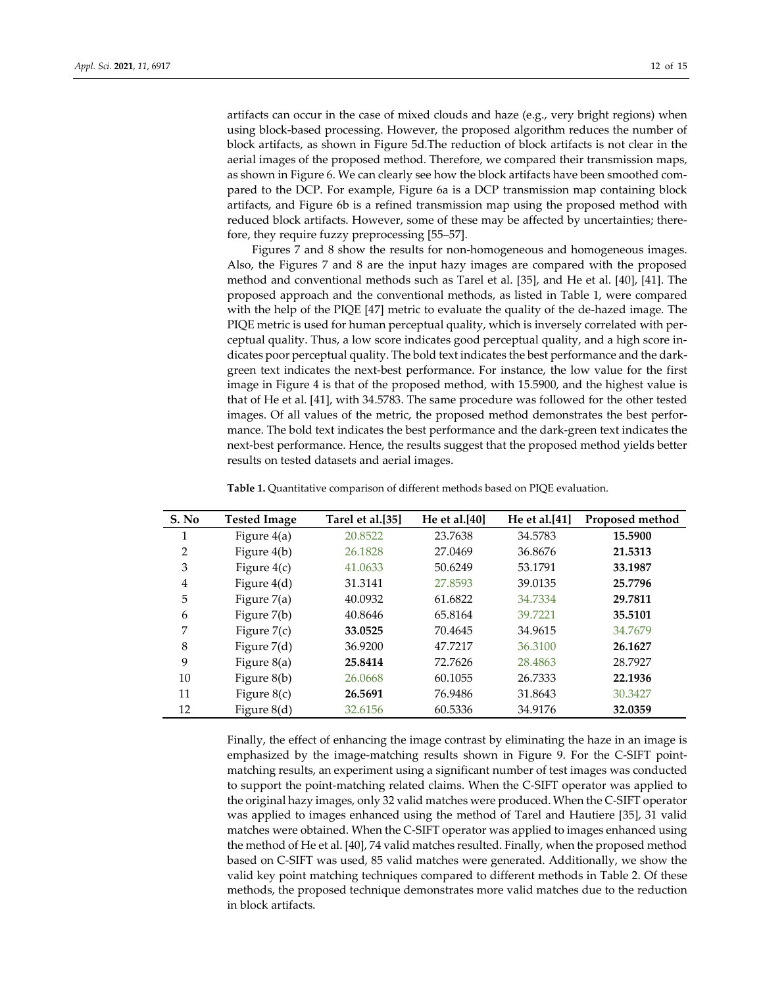artifacts can occur in the case of mixed clouds and haze (e.g., very bright regions) when using block-based processing. However, the proposed algorithm reduces the number of block artifacts, as shown in Figure 5d.The reduction of block artifacts is not clear in the aerial images of the proposed method. Therefore, we compared their transmission maps, as shown in Figure 6. We can clearly see how the block artifacts have been smoothed compared to the DCP. For example, Figure 6a is a DCP transmission map containing block artifacts, and Figure 6b is a refined transmission map using the proposed method with reduced block artifacts. However, some of these may be affected by uncertainties; therefore, they require fuzzy preprocessing [55–57].

Figures 7 and 8 show the results for non-homogeneous and homogeneous images. Also, the Figures 7 and 8 are the input hazy images are compared with the proposed method and conventional methods such as Tarel et al. [35], and He et al. [40], [41]. The proposed approach and the conventional methods, as listed in Table 1, were compared with the help of the PIQE [47] metric to evaluate the quality of the de-hazed image. The PIQE metric is used for human perceptual quality, which is inversely correlated with perceptual quality. Thus, a low score indicates good perceptual quality, and a high score indicates poor perceptual quality. The bold text indicates the best performance and the darkgreen text indicates the next-best performance. For instance, the low value for the first image in Figure 4 is that of the proposed method, with 15.5900, and the highest value is that of He et al. [41], with 34.5783. The same procedure was followed for the other tested images. Of all values of the metric, the proposed method demonstrates the best performance. The bold text indicates the best performance and the dark-green text indicates the next-best performance. Hence, the results suggest that the proposed method yields better results on tested datasets and aerial images.

| S. No | <b>Tested Image</b> | Tarel et al.[35] | He et al. $[40]$ | He et al. $[41]$ | Proposed method |
|-------|---------------------|------------------|------------------|------------------|-----------------|
| 1     | Figure $4(a)$       | 20.8522          | 23.7638          | 34.5783          | 15.5900         |
| 2     | Figure $4(b)$       | 26.1828          | 27.0469          | 36.8676          | 21.5313         |
| 3     | Figure $4(c)$       | 41.0633          | 50.6249          | 53.1791          | 33.1987         |
| 4     | Figure $4(d)$       | 31.3141          | 27.8593          | 39.0135          | 25.7796         |
| 5     | Figure $7(a)$       | 40.0932          | 61.6822          | 34.7334          | 29.7811         |
| 6     | Figure $7(b)$       | 40.8646          | 65.8164          | 39.7221          | 35.5101         |
| 7     | Figure $7(c)$       | 33.0525          | 70.4645          | 34.9615          | 34.7679         |
| 8     | Figure $7(d)$       | 36.9200          | 47.7217          | 36.3100          | 26.1627         |
| 9     | Figure $8(a)$       | 25.8414          | 72.7626          | 28.4863          | 28.7927         |
| 10    | Figure $8(b)$       | 26,0668          | 60.1055          | 26.7333          | 22.1936         |
| 11    | Figure $8(c)$       | 26.5691          | 76.9486          | 31.8643          | 30.3427         |
| 12    | Figure $8(d)$       | 32.6156          | 60.5336          | 34.9176          | 32.0359         |

**Table 1.** Quantitative comparison of different methods based on PIQE evaluation.

Finally, the effect of enhancing the image contrast by eliminating the haze in an image is emphasized by the image-matching results shown in Figure 9. For the C-SIFT pointmatching results, an experiment using a significant number of test images was conducted to support the point-matching related claims. When the C-SIFT operator was applied to the original hazy images, only 32 valid matches were produced. When the C-SIFT operator was applied to images enhanced using the method of Tarel and Hautiere [35], 31 valid matches were obtained. When the C-SIFT operator was applied to images enhanced using the method of He et al. [40], 74 valid matches resulted. Finally, when the proposed method based on C-SIFT was used, 85 valid matches were generated. Additionally, we show the valid key point matching techniques compared to different methods in Table 2. Of these methods, the proposed technique demonstrates more valid matches due to the reduction in block artifacts.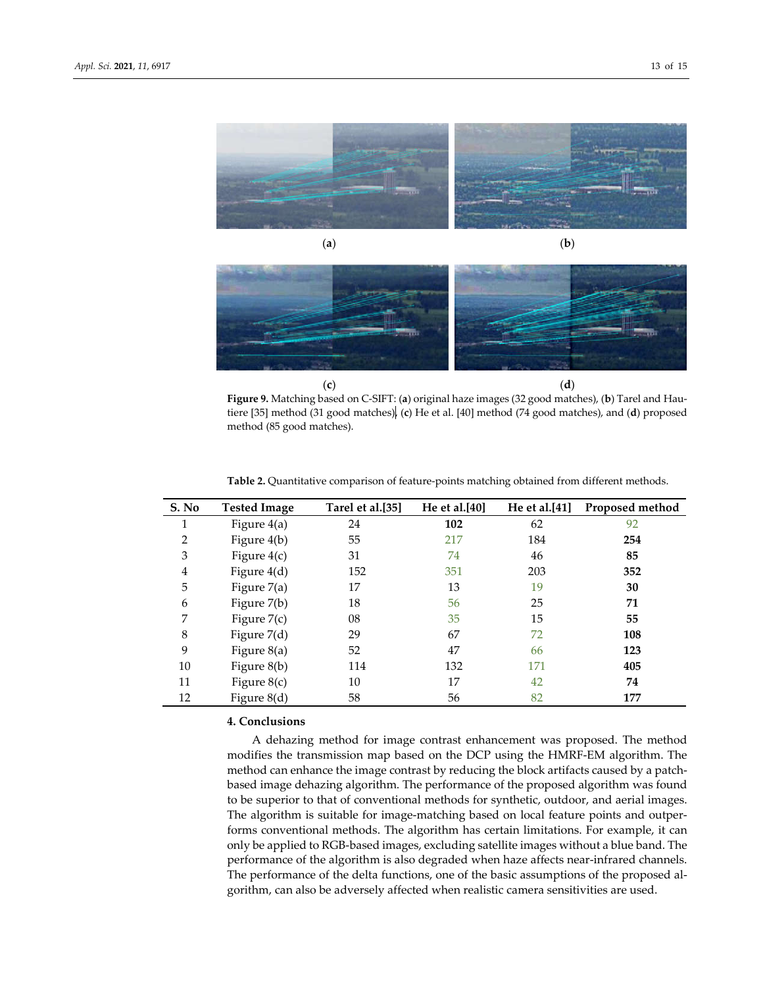

(**a**) (**b**)



**Figure 9.** Matching based on C-SIFT: (**a**) original haze images (32 good matches), (**b**) Tarel and Hautiere [35] method (31 good matches), (**c**) He et al. [40] method (74 good matches), and (**d**) proposed method (85 good matches).

| S. No | <b>Tested Image</b> | Tarel et al.[35] | He et al.[40] | He et al. $[41]$ | Proposed method |
|-------|---------------------|------------------|---------------|------------------|-----------------|
| 1     | Figure $4(a)$       | 24               | 102           | 62               | 92              |
| 2     | Figure $4(b)$       | 55               | 217           | 184              | 254             |
| 3     | Figure $4(c)$       | 31               | 74            | 46               | 85              |
| 4     | Figure $4(d)$       | 152              | 351           | 203              | 352             |
| 5     | Figure $7(a)$       | 17               | 13            | 19               | 30              |
| 6     | Figure $7(b)$       | 18               | 56            | 25               | 71              |
| 7     | Figure $7(c)$       | 08               | 35            | 15               | 55              |
| 8     | Figure $7(d)$       | 29               | 67            | 72               | 108             |
| 9     | Figure $8(a)$       | 52               | 47            | 66               | 123             |
| 10    | Figure $8(b)$       | 114              | 132           | 171              | 405             |
| 11    | Figure $8(c)$       | 10               | 17            | 42               | 74              |
| 12    | Figure $8(d)$       | 58               | 56            | 82               | 177             |

**Table 2.** Quantitative comparison of feature-points matching obtained from different methods.

# **4. Conclusions**

A dehazing method for image contrast enhancement was proposed. The method modifies the transmission map based on the DCP using the HMRF-EM algorithm. The method can enhance the image contrast by reducing the block artifacts caused by a patchbased image dehazing algorithm. The performance of the proposed algorithm was found to be superior to that of conventional methods for synthetic, outdoor, and aerial images. The algorithm is suitable for image-matching based on local feature points and outperforms conventional methods. The algorithm has certain limitations. For example, it can only be applied to RGB-based images, excluding satellite images without a blue band. The performance of the algorithm is also degraded when haze affects near-infrared channels. The performance of the delta functions, one of the basic assumptions of the proposed algorithm, can also be adversely affected when realistic camera sensitivities are used.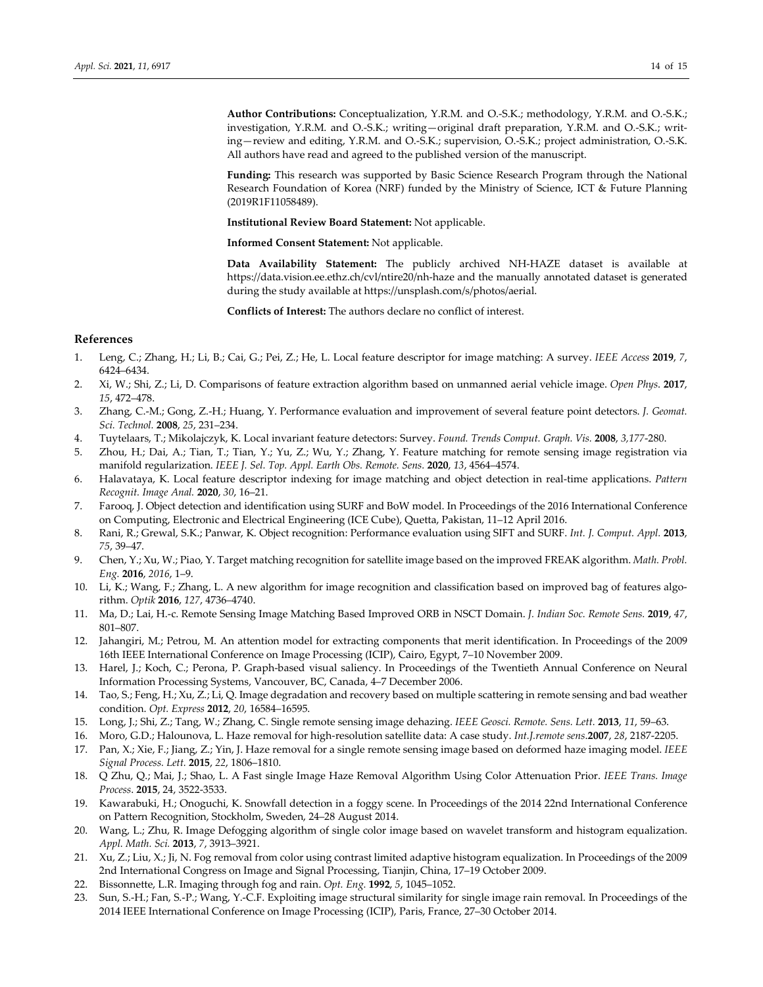**Author Contributions:** Conceptualization, Y.R.M. and O.-S.K.; methodology, Y.R.M. and O.-S.K.; investigation, Y.R.M. and O.-S.K.; writing–original draft preparation, Y.R.M. and O.-S.K.; writing—review and editing, Y.R.M. and O.-S.K.; supervision, O.-S.K.; project administration, O.-S.K. All authors have read and agreed to the published version of the manuscript.

**Funding:** This research was supported by Basic Science Research Program through the National Research Foundation of Korea (NRF) funded by the Ministry of Science, ICT & Future Planning (2019R1F11058489).

**Institutional Review Board Statement:** Not applicable.

**Informed Consent Statement:** Not applicable.

**Data Availability Statement:** The publicly archived NH-HAZE dataset is available at https://data.vision.ee.ethz.ch/cvl/ntire20/nh-haze and the manually annotated dataset is generated during the study available at https://unsplash.com/s/photos/aerial.

**Conflicts of Interest:** The authors declare no conflict of interest.

#### **References**

- 1. Leng, C.; Zhang, H.; Li, B.; Cai, G.; Pei, Z.; He, L. Local feature descriptor for image matching: A survey. *IEEE Access* **2019**, *7*, 6424–6434.
- 2. Xi, W.; Shi, Z.; Li, D. Comparisons of feature extraction algorithm based on unmanned aerial vehicle image. *Open Phys*. **2017**, *15*, 472–478.
- 3. Zhang, C.-M.; Gong, Z.-H.; Huang, Y. Performance evaluation and improvement of several feature point detectors. *J. Geomat. Sci. Technol.* **2008**, *25*, 231–234.
- 4. Tuytelaars, T.; Mikolajczyk, K. Local invariant feature detectors: Survey. *Found. Trends Comput. Graph. Vis.* **2008**, *3,177*-280.
- 5. Zhou, H.; Dai, A.; Tian, T.; Tian, Y.; Yu, Z.; Wu, Y.; Zhang, Y. Feature matching for remote sensing image registration via manifold regularization. *IEEE J. Sel. Top. Appl. Earth Obs. Remote. Sens.* **2020**, *13*, 4564–4574.
- 6. Halavataya, K. Local feature descriptor indexing for image matching and object detection in real-time applications. *Pattern Recognit. Image Anal.* **2020**, *30*, 16–21.
- 7. Farooq, J. Object detection and identification using SURF and BoW model. In Proceedings of the 2016 International Conference on Computing, Electronic and Electrical Engineering (ICE Cube), Quetta, Pakistan, 11–12 April 2016.
- 8. Rani, R.; Grewal, S.K.; Panwar, K. Object recognition: Performance evaluation using SIFT and SURF. *Int. J. Comput. Appl.* **2013**, *75*, 39–47.
- 9. Chen, Y.; Xu, W.; Piao, Y. Target matching recognition for satellite image based on the improved FREAK algorithm. *Math. Probl. Eng.* **2016**, *2016*, 1–9.
- 10. Li, K.; Wang, F.; Zhang, L. A new algorithm for image recognition and classification based on improved bag of features algorithm. *Optik* **2016**, *127*, 4736–4740.
- 11. Ma, D.; Lai, H.-c. Remote Sensing Image Matching Based Improved ORB in NSCT Domain. *J. Indian Soc. Remote Sens.* **2019**, *47*, 801–807.
- 12. Jahangiri, M.; Petrou, M. An attention model for extracting components that merit identification. In Proceedings of the 2009 16th IEEE International Conference on Image Processing (ICIP), Cairo, Egypt, 7–10 November 2009.
- 13. Harel, J.; Koch, C.; Perona, P. Graph-based visual saliency. In Proceedings of the Twentieth Annual Conference on Neural Information Processing Systems, Vancouver, BC, Canada, 4–7 December 2006.
- 14. Tao, S.; Feng, H.; Xu, Z.; Li, Q. Image degradation and recovery based on multiple scattering in remote sensing and bad weather condition. *Opt. Express* **2012**, *20*, 16584–16595.
- 15. Long, J.; Shi, Z.; Tang, W.; Zhang, C. Single remote sensing image dehazing. *IEEE Geosci. Remote. Sens. Lett.* **2013**, *11*, 59–63.
- 16. Moro, G.D.; Halounova, L. Haze removal for high-resolution satellite data: A case study. *Int.J.remote sens*.**2007**, *28*, 2187-2205.
- 17. Pan, X.; Xie, F.; Jiang, Z.; Yin, J. Haze removal for a single remote sensing image based on deformed haze imaging model. *IEEE Signal Process. Lett.* **2015**, *22*, 1806–1810.
- 18. Q Zhu, Q.; Mai, J.; Shao, L. A Fast single Image Haze Removal Algorithm Using Color Attenuation Prior. *IEEE Trans. Image Process*. **2015**, 24, 3522-3533.
- 19. Kawarabuki, H.; Onoguchi, K. Snowfall detection in a foggy scene. In Proceedings of the 2014 22nd International Conference on Pattern Recognition, Stockholm, Sweden, 24–28 August 2014.
- 20. Wang, L.; Zhu, R. Image Defogging algorithm of single color image based on wavelet transform and histogram equalization. *Appl. Math. Sci.* **2013**, *7*, 3913–3921.
- 21. Xu, Z.; Liu, X.; Ji, N. Fog removal from color using contrast limited adaptive histogram equalization. In Proceedings of the 2009 2nd International Congress on Image and Signal Processing, Tianjin, China, 17–19 October 2009.
- 22. Bissonnette, L.R. Imaging through fog and rain. *Opt. Eng.* **1992**, *5*, 1045–1052.
- 23. Sun, S.-H.; Fan, S.-P.; Wang, Y.-C.F. Exploiting image structural similarity for single image rain removal. In Proceedings of the 2014 IEEE International Conference on Image Processing (ICIP), Paris, France, 27–30 October 2014.